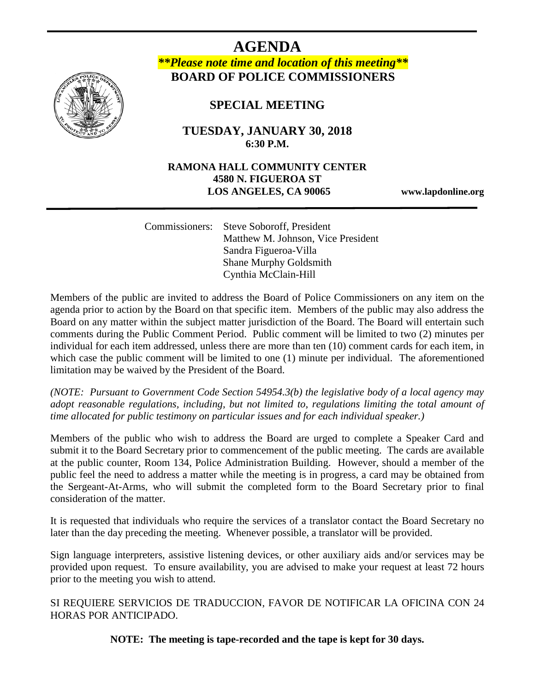

**AGENDA** *\*\*Please note time and location of this meeting\*\** **BOARD OF POLICE COMMISSIONERS**

# **SPECIAL MEETING**

j

**TUESDAY, JANUARY 30, 2018 6:30 P.M.**

## **RAMONA HALL COMMUNITY CENTER 4580 N. FIGUEROA ST LOS ANGELES, CA 90065 www.lapdonline.org**

 Commissioners: Steve Soboroff, President Matthew M. Johnson, Vice President Sandra Figueroa-Villa Shane Murphy Goldsmith Cynthia McClain-Hill

Members of the public are invited to address the Board of Police Commissioners on any item on the agenda prior to action by the Board on that specific item. Members of the public may also address the Board on any matter within the subject matter jurisdiction of the Board. The Board will entertain such comments during the Public Comment Period. Public comment will be limited to two (2) minutes per individual for each item addressed, unless there are more than ten (10) comment cards for each item, in which case the public comment will be limited to one (1) minute per individual. The aforementioned limitation may be waived by the President of the Board.

*(NOTE: Pursuant to Government Code Section 54954.3(b) the legislative body of a local agency may adopt reasonable regulations, including, but not limited to, regulations limiting the total amount of time allocated for public testimony on particular issues and for each individual speaker.)*

Members of the public who wish to address the Board are urged to complete a Speaker Card and submit it to the Board Secretary prior to commencement of the public meeting. The cards are available at the public counter, Room 134, Police Administration Building. However, should a member of the public feel the need to address a matter while the meeting is in progress, a card may be obtained from the Sergeant-At-Arms, who will submit the completed form to the Board Secretary prior to final consideration of the matter.

It is requested that individuals who require the services of a translator contact the Board Secretary no later than the day preceding the meeting. Whenever possible, a translator will be provided.

Sign language interpreters, assistive listening devices, or other auxiliary aids and/or services may be provided upon request. To ensure availability, you are advised to make your request at least 72 hours prior to the meeting you wish to attend.

SI REQUIERE SERVICIOS DE TRADUCCION, FAVOR DE NOTIFICAR LA OFICINA CON 24 HORAS POR ANTICIPADO.

**NOTE: The meeting is tape-recorded and the tape is kept for 30 days.**